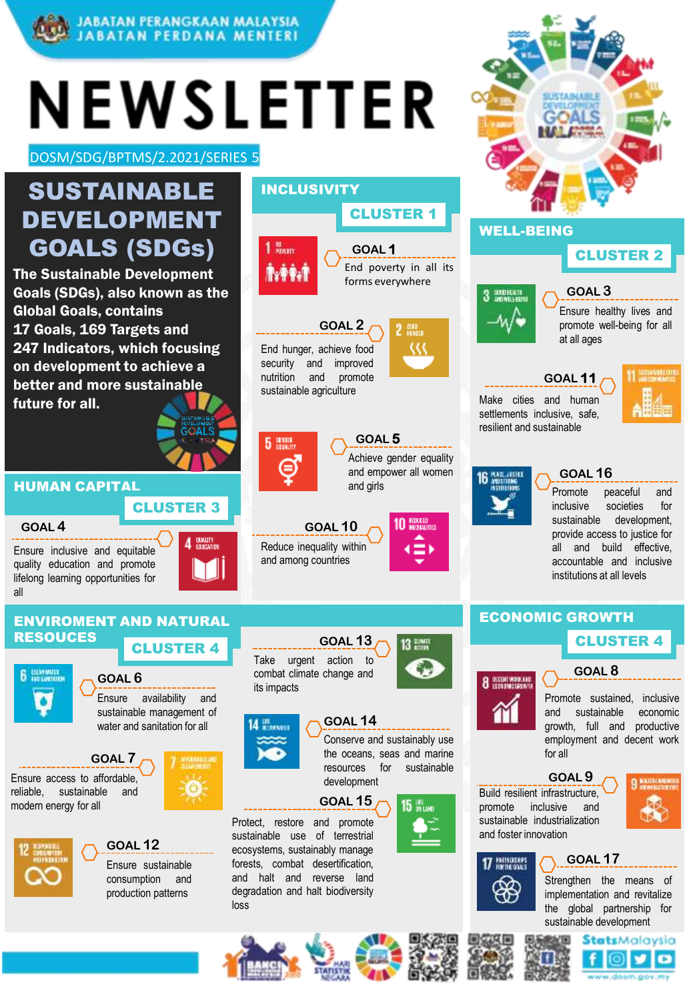

# **NEWSLETTER**

DOSM/SDG/BPTMS/2.2021/SERIES 5

## SUSTAINABLE DEVELOPMENT GOALS (SDGs)

The Sustainable Development Goals (SDGs), also known as the Global Goals, contains 17 Goals, 169 Targets and 247 Indicators, which focusing on development to achieve a better and more sustainable future for all.

HUMAN CAPITAL

**GOAL 4**

Ensure inclusive and equitable quality education and promote lifelong learning opportunities for all

### ENVIROMENT AND NATURAL RESOUCES



**GOAL 6** Ensure availability and sustainable management of water and sanitation for all

CLUSTER 3

GOALS

4 BULLIN

**GOAL 7** Ensure access to affordable, reliable, sustainable and modern energy for all





## CLUSTER 4 CLUSTER 4 **GOAL 13** Take urgent action to combat climate change and its impacts 14 HERMANY

**GOAL 10**

Reduce inequality within and among countries



## **GOAL 14**

Conserve and sustainably use the oceans, seas and marine resources for sustainable development

### **GOAL 15**

Protect, restore and promote sustainable use of terrestrial ecosystems, sustainably manage forests, combat desertification, and halt and reverse land degradation and halt biodiversity loss



CLUSTER 1

forms everywhere

**GOAL 1**

**GOAL 5**

and girls

Achieve gender equality and empower all women

॥

**GOAL 2**

End hunger, achieve food security and improved nutrition and promote sustainable agriculture

INCLUSIVITY

 $1 \frac{32}{N \text{ dB}}$ 

5 GENUER Θ





# **7 ENGINEERS**









WELL-BEING End poverty in all its **GOAL 3** Ensure healthy lives and promote well-being for all at all ages **GOAL 11** CLUSTER 2

> Make cities and human settlements inclusive, safe, resilient and sustainable





**8 BELIGHT MORE AND** 

**GOAL 16**

Promote peaceful and inclusive societies for sustainable development, provide access to justice for all and build effective, accountable and inclusive institutions at all levels

## ECONOMIC GROWTH

**GOAL 8**

Promote sustained, inclusive and sustainable economic growth, full and productive employment and decent work for all